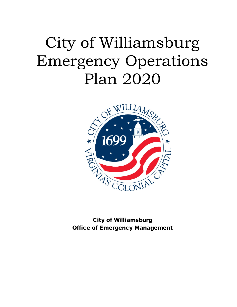# City of Williamsburg Emergency Operations Plan 2020



City of Williamsburg Office of Emergency Management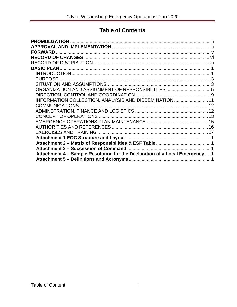## **Table of Contents**

| <b>PURPOSE</b>                                                               |  |
|------------------------------------------------------------------------------|--|
|                                                                              |  |
|                                                                              |  |
|                                                                              |  |
| INFORMATION COLLECTION, ANALYSIS AND DISSEMINATION  11                       |  |
| COMMUNICATIONS                                                               |  |
|                                                                              |  |
|                                                                              |  |
|                                                                              |  |
|                                                                              |  |
|                                                                              |  |
|                                                                              |  |
|                                                                              |  |
|                                                                              |  |
| Attachment 4 - Sample Resolution for the Declaration of a Local Emergency  1 |  |
|                                                                              |  |
|                                                                              |  |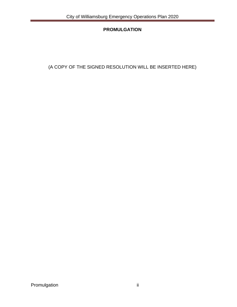## **PROMULGATION**

<span id="page-2-0"></span>(A COPY OF THE SIGNED RESOLUTION WILL BE INSERTED HERE)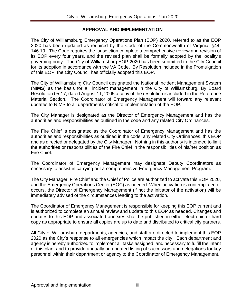#### **APPROVAL AND IMPLEMENTATION**

<span id="page-3-0"></span>The City of Williamsburg Emergency Operations Plan (EOP) 2020, referred to as the EOP 2020 has been updated as required by the Code of the Commonwealth of Virginia, §44- 146.19. The Code requires the jurisdiction complete a comprehensive review and revision of its EOP every four years, and the revised plan shall be formally adopted by the locality's governing body. The City of Williamsburg EOP 2020 has been submitted to the City Council for its adoption in accordance with the VA Code. By Resolution included in the Promulgation of this EOP, the City Council has officially adopted this EOP.

The City of Williamsburg City Council designated the National Incident Management System (**NIMS**) as the basis for all incident management in the City of Williamsburg. By Board Resolution 05-17, dated August 11, 2005 a copy of the resolution is included in the Reference Material Section. The Coordinator of Emergency Management will forward any relevant updates to NIMS to all departments critical to implementation of the EOP.

The City Manager is designated as the Director of Emergency Management and has the authorities and responsibilities as outlined in the code and any related City Ordinances.

The Fire Chief is designated as the Coordinator of Emergency Management and has the authorities and responsibilities as outlined in the code, any related City Ordinances, this EOP and as directed or delegated by the City Manager. Nothing in this authority is intended to limit the authorities or responsibilities of the Fire Chief in the responsibilities of his/her position as Fire Chief.

The Coordinator of Emergency Management may designate Deputy Coordinators as necessary to assist in carrying out a comprehensive Emergency Management Program.

The City Manager, Fire Chief and the Chief of Police are authorized to activate this EOP 2020, and the Emergency Operations Center (EOC) as needed. When activation is contemplated or occurs, the Director of Emergency Management (if not the initiator of the activation) will be immediately advised of the circumstances leading to the activation.

The Coordinator of Emergency Management is responsible for keeping this EOP current and is authorized to complete an annual review and update to this EOP as needed. Changes and updates to this EOP and associated annexes shall be published in either electronic or hard copy as appropriate to ensure all copies are up to date and distributed to critical city partners.

All City of Williamsburg departments, agencies, and staff are directed to implement this EOP 2020 as the City's response to all emergencies which impact the city. Each department and agency is hereby authorized to implement all tasks assigned, and necessary to fulfill the intent of this plan, and to provide annually an updated listing of successors and delegations for key personnel within their department or agency to the Coordinator of Emergency Management.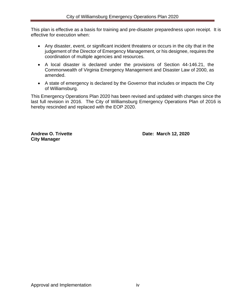This plan is effective as a basis for training and pre-disaster preparedness upon receipt. It is effective for execution when:

- Any disaster, event, or significant incident threatens or occurs in the city that in the judgement of the Director of Emergency Management, or his designee, requires the coordination of multiple agencies and resources.
- A local disaster is declared under the provisions of Section 44-146.21, the Commonwealth of Virginia Emergency Management and Disaster Law of 2000, as amended.
- A state of emergency is declared by the Governor that includes or impacts the City of Williamsburg.

This Emergency Operations Plan 2020 has been revised and updated with changes since the last full revision in 2016. The City of Williamsburg Emergency Operations Plan of 2016 is hereby rescinded and replaced with the EOP 2020.

**City Manager** 

**Andrew O. Trivette Community Community Community Community Date: March 12, 2020**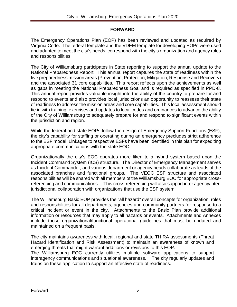#### **FORWARD**

<span id="page-5-0"></span>The Emergency Operations Plan (EOP) has been reviewed and updated as required by Virginia Code. The federal template and the VDEM template for developing EOPs were used and adapted to meet the city's needs, correspond with the city's organization and agency roles and responsibilities.

The City of Williamsburg participates in State reporting to support the annual update to the National Preparedness Report. This annual report captures the state of readiness within the five preparedness mission areas (Prevention, Protection, Mitigation, Response and Recovery) and the associated 31 core capabilities. This report reflects upon the achievements as well as gaps in meeting the National Preparedness Goal and is required as specified in PPD-8. This annual report provides valuable insight into the ability of the country to prepare for and respond to events and also provides local jurisdictions an opportunity to reassess their state of readiness to address the mission areas and core capabilities. This local assessment should tie in with training, exercises and updates to local codes and ordinances to advance the ability of the City of Williamsburg to adequately prepare for and respond to significant events within the jurisdiction and region.

While the federal and state EOPs follow the design of Emergency Support Functions (ESF), the city's capability for staffing or operating during an emergency precludes strict adherence to the ESF model. Linkages to respective ESFs have been identified in this plan for expediting appropriate communications with the state EOC.

Organizationally the city's EOC operates more liken to a hybrid system based upon the Incident Command System (ICS) structure. The Director of Emergency Management serves as Incident Commander, and various department or agency heads collaborate as leads of the associated branches and functional groups. The VEOC ESF structure and associated responsibilities will be shared with all members of the Williamsburg EOC for appropriate crossreferencing and communications. This cross-referencing will also support inter agency/interjurisdictional collaboration with organizations that use the ESF system.

The Williamsburg Basic EOP provides the "all hazard" overall concepts for organization, roles and responsibilities for all departments, agencies and community partners for response to a critical incident or event in the city. Attachments to the Basic Plan provide additional information or resources that may apply to all hazards or events. Attachments and Annexes include those organizational/functional operational guidelines that must be updated and maintained on a frequent basis.

The city maintains awareness with local, regional and state THIRA assessments (Threat Hazard Identification and Risk Assessment) to maintain an awareness of known and emerging threats that might warrant additions or revisions to this EOP.

The Williamsburg EOC currently utilizes multiple software applications to support interagency communications and situational awareness. The city regularly updates and trains on these application to support an effective state of readiness.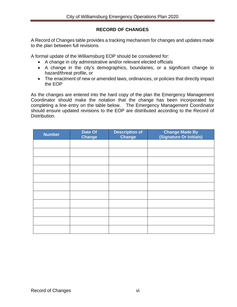#### **RECORD OF CHANGES**

<span id="page-6-0"></span>A Record of Changes table provides a tracking mechanism for changes and updates made to the plan between full revisions.

A formal update of the Williamsburg EOP should be considered for:

- A change in city administrative and/or relevant elected officials
- A change in the city's demographics, boundaries, or a significant change to hazard/threat profile, or
- The enactment of new or amended laws, ordinances, or policies that directly impact the EOP

As the changes are entered into the hard copy of the plan the Emergency Management Coordinator should make the notation that the change has been incorporated by completing a line entry on the table below. The Emergency Management Coordinator should ensure updated revisions to the EOP are distributed according to the Record of Distribution.

| <b>Number</b> | Date Of<br><b>Change</b> | <b>Description of</b><br>Change | <b>Change Made By</b><br>(Signature Or Initials) |
|---------------|--------------------------|---------------------------------|--------------------------------------------------|
|               |                          |                                 |                                                  |
|               |                          |                                 |                                                  |
|               |                          |                                 |                                                  |
|               |                          |                                 |                                                  |
|               |                          |                                 |                                                  |
|               |                          |                                 |                                                  |
|               |                          |                                 |                                                  |
|               |                          |                                 |                                                  |
|               |                          |                                 |                                                  |
|               |                          |                                 |                                                  |
|               |                          |                                 |                                                  |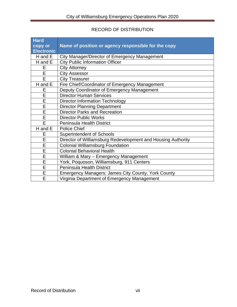## RECORD OF DISTRIBUTION

<span id="page-7-0"></span>

| <b>Hard</b><br>copy or<br><b>Electronic</b> | Name of position or agency responsible for the copy          |
|---------------------------------------------|--------------------------------------------------------------|
| H and E                                     | City Manager/Director of Emergency Management                |
| H and E                                     | <b>City Public Information Officer</b>                       |
| Е                                           | <b>City Attorney</b>                                         |
| E                                           | <b>City Assessor</b>                                         |
| E                                           | <b>City Treasurer</b>                                        |
| H and E                                     | Fire Chief/Coordinator of Emergency Management               |
| E                                           | Deputy Coordinator of Emergency Management                   |
| E                                           | <b>Director Human Services</b>                               |
| E                                           | <b>Director Information Technology</b>                       |
| E                                           | <b>Director Planning Department</b>                          |
| Ē                                           | <b>Director Parks and Recreation</b>                         |
| E                                           | <b>Director Public Works</b>                                 |
| E                                           | <b>Peninsula Health District</b>                             |
| H and E                                     | <b>Police Chief</b>                                          |
| E                                           | <b>Superintendent of Schools</b>                             |
| E                                           | Director of Williamsburg Redevelopment and Housing Authority |
| E                                           | <b>Colonial Williamsburg Foundation</b>                      |
| Ē                                           | <b>Colonial Behavioral Health</b>                            |
| E                                           | William & Mary - Emergency Management                        |
| E                                           | York, Poquoson, Williamsburg, 911 Centers                    |
| E                                           | <b>Peninsula Health District</b>                             |
| $\overline{\mathsf{E}}$                     | <b>Emergency Managers: James City County, York County</b>    |
| E                                           | Virginia Department of Emergency Management                  |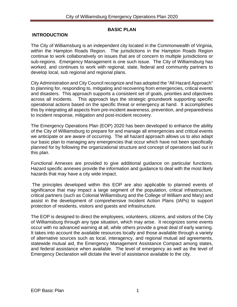#### **BASIC PLAN**

#### <span id="page-8-1"></span><span id="page-8-0"></span>**INTRODUCTION**

The City of Williamsburg is an independent city located in the Commonwealth of Virginia, within the Hampton Roads Region. The jurisdictions in the Hampton Roads Region continue to work collaboratively on issues that are of concern to multiple jurisdictions or sub-regions. Emergency Management is one such issue. The City of Williamsburg has worked, and continues to work with regional, state, federal and community partners to develop local, sub regional and regional plans.

City Administration and City Council recognize and has adopted the "All Hazard Approach" to planning for, responding to, mitigating and recovering from emergencies, critical events and disasters. This approach supports a consistent set of goals, priorities and objectives across all incidents. This approach lays the strategic groundwork supporting specific operational actions based on the specific threat or emergency at hand. It accomplishes this by integrating all aspects from pre-incident awareness, prevention, and preparedness to incident response, mitigation and post-incident recovery.

The Emergency Operations Plan (EOP) 2020 has been developed to enhance the ability of the City of Williamsburg to prepare for and manage all emergencies and critical events we anticipate or are aware of occurring. The all hazard approach allows us to also adapt our basic plan to managing any emergencies that occur which have not been specifically planned for by following the organizational structure and concept of operations laid out in this plan.

Functional Annexes are provided to give additional guidance on particular functions. Hazard specific annexes provide the information and guidance to deal with the most likely hazards that may have a city wide impact.

The principles developed within this EOP are also applicable to planned events of significance that may impact a large segment of the population, critical infrastructure, critical partners (such as Colonial Williamsburg and the College of William and Mary) and assist in the development of comprehensive Incident Action Plans (IAPs) to support protection of residents, visitors and guests and infrastructure.

The EOP is designed to direct the employees, volunteers, citizens, and visitors of the City of Williamsburg through any type situation, which may arise. It recognizes some events occur with no advanced warning at all, while others provide a great deal of early warning. It takes into account the available resources locally and those available through a variety of alternative sources such as local, interagency, and regional mutual aid agreements, statewide mutual aid, the Emergency Management Assistance Compact among states, and federal assistance when available. The level of emergency as well as the level of Emergency Declaration will dictate the level of assistance available to the city.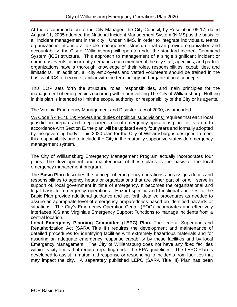At the recommendation of the City Manager, the City Council, by Resolution 05-17, dated August 11, 2005 adopted the National Incident Management System (NIMS) as the basis for all incident management in the city. Under NIMS, in order to integrate individuals, teams, organizations, etc. into a flexible management structure that can provide organization and accountability, the City of Williamsburg will operate under the standard Incident Command System (ICS) structure. This approach to management of a single significant incident or numerous events concurrently demands each member of the city staff, agencies, and partner organizations have a thorough knowledge of their roles, responsibilities, capabilities, and limitations. In addition, all city employees and vetted volunteers should be trained in the basics of ICS to become familiar with the terminology and organizational concepts.

This EOP sets forth the structure, roles, responsibilities, and main principles for the management of emergencies occurring within or involving The City of Williamsburg. Nothing in this plan is intended to limit the scope, authority, or responsibility of the City or its agents.

#### The Virginia Emergency Management and Disaster Law of 2000, as amended.

VA Code § 44-146.19; Powers and duties of political subdivisions) requires that each local jurisdiction prepare and keep current a local emergency operations plan for its area. In accordance with Section E, the plan will be updated every four years and formally adopted by the governing body. This 2020 plan for the City of Williamsburg is designed to meet this responsibility and to include the City in the mutually supportive statewide emergency management system.

The City of Williamsburg Emergency Management Program actually incorporates four plans. The development and maintenance of these plans is the basis of the local emergency management program.

The **Basic Plan** describes the concept of emergency operations and assigns duties and responsibilities to agency heads or organizations that are either part of, or will serve in support of, local government in time of emergency. It becomes the organizational and legal basis for emergency operations. Hazard-specific and functional annexes to the Basic Plan provide additional guidance and set forth detailed procedures as needed to assure an appropriate level of emergency preparedness based on identified hazards or situations. The City's Emergency Operation Center (EOC) incorporates and effectively interfaces ICS and Virginia's Emergency Support Functions to manage incidents from a central location.

**Local Emergency Planning Committee (LEPC) Plan.** The federal Superfund and Reauthorization Act (SARA Title III) requires the development and maintenance of detailed procedures for identifying facilities with extremely hazardous materials and for assuring an adequate emergency response capability by these facilities and by local Emergency Management. The City of Williamsburg does not have any fixed facilities within its city limits that require reporting under the EPA guidelines. The LEPC Plan is developed to assist in mutual aid response or responding to incidents from facilities that may impact the city. A separately published LEPC (SARA Title III) Plan has been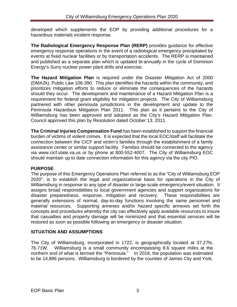developed which supplements the EOP by providing additional procedures for a hazardous materials incident response.

**The Radiological Emergency Response Plan (RERP)** provides guidance for effective emergency response operations in the event of a radiological emergency precipitated by events at fixed nuclear facilities or by transportation accidents. The RERP is maintained and published as a separate plan which is updated bi-annually in the cycle of Dominion Energy's Surry nuclear power plant drills and exercise.

**The Hazard Mitigation Plan** is required under the Disaster Mitigation Act of 2000 (DMA2k), Public Law 106-390. This plan identifies the hazards within the community, and prioritizes mitigation efforts to reduce or eliminate the consequences of the hazards should they occur. The development and maintenance of a Hazard Mitigation Plan is a requirement for federal grant eligibility for mitigation projects. The City of Williamsburg partnered with other peninsula jurisdictions in the development and update to the Peninsula Hazardous Mitigation Plan 2011. This plan as it pertains to the City of Williamsburg has been approved and adopted as the City's Hazard Mitigation Plan. Council approved this plan by Resolution dated October 13, 2011.

**The Criminal Injuries Compensation Fund** has been established to support the financial burden of victims of violent crimes. It is expected that the local EOC/staff will facilitate the connection between the CICF and victim's families through the establishment of a family assistance center or similar support facility. Families should be connected to the agency via www.cicf.state.va.us or by phone at 800-552-4007. The City of Williamsburg EOC should maintain up to date connection information for this agency via the city PIO.

#### <span id="page-10-0"></span>**PURPOSE**

The purpose of this Emergency Operations Plan referred to as the "City of Williamsburg EOP 2020", is to establish the legal and organizational basis for operations in the City of Williamsburg in response to any type of disaster or large-scale emergency/event situation. It assigns broad responsibilities to local government agencies and support organizations for disaster preparedness, response, mitigation and recovery. These responsibilities are generally extensions of normal, day-to-day functions involving the same personnel and material resources. Supporting annexes and/or hazard specific annexes set forth the concepts and procedures whereby the city can effectively apply available resources to insure that casualties and property damage will be minimized and that essential services will be restored as soon as possible following an emergency or disaster situation.

## <span id="page-10-1"></span>**SITUATION AND ASSUMPTIONS**

The City of Williamsburg, incorporated in 1722, is geographically located at 37.27N, 76.71W. Williamsburg is a small community encompassing 8.6 square miles at the northern end of what is termed the "Peninsula." In 2018, the population was estimated to be 14,896 persons. Williamsburg is bordered by the counties of James City and York.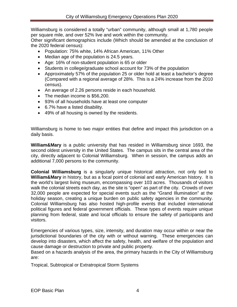Williamsburg is considered a totally "urban" community, although small at 1,780 people per square mile, and over 52% live and work within the community.

Other significant demographics include (Which should be amended at the conclusion of the 2020 federal census):

- Population: 75% white, 14% African American, 11% Other
- Median age of the population is 24.5 years.
- Age: 16% of non-student population is 65 or older
- Students in college/graduate school account for 73% of the population
- Approximately 57% of the population 25 or older hold at least a bachelor's degree (Compared with a regional average of 28%. This is a 24% increase from the 2010 census).
- An average of 2.26 persons reside in each household.
- The median income is \$56,200.
- 93% of all households have at least one computer
- 6.7% have a listed disability.
- 49% of all housing is owned by the residents.

Williamsburg is home to two major entities that define and impact this jurisdiction on a daily basis.

**William&Mary** is a public university that has resided in Williamsburg since 1693, the second oldest university in the United States. The campus sits in the central area of the city, directly adjacent to Colonial Williamsburg. When in session, the campus adds an additional 7,000 persons to the community.

**Colonial Williamsburg** is a singularly unique historical attraction, not only tied to **William&Mary** in history, but as a focal point of colonial and early American history. It is the world's largest living museum, encompassing over 103 acres. Thousands of visitors walk the colonial streets each day, as the site is "open" as part of the city. Crowds of over 32,000 people are expected for special events such as the "Grand Illumination" at the holiday season, creating a unique burden on public safety agencies in the community. Colonial Williamsburg has also hosted high-profile events that included international political figures and federal government officials. These types of events require unique planning from federal, state and local officials to ensure the safety of participants and visitors.

Emergencies of various types, size, intensity, and duration may occur within or near the jurisdictional boundaries of the city with or without warning. These emergencies can develop into disasters, which affect the safety, health, and welfare of the population and cause damage or destruction to private and public property.

Based on a hazards analysis of the area, the primary hazards in the City of Williamsburg are:

Tropical, Subtropical or Extratropical Storm Systems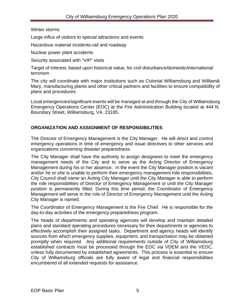#### Winter storms

Large influx of visitors to special attractions and events

Hazardous material incidents-rail and roadway

Nuclear power plant accidents

Security associated with "VIP" visits

Target of Interest, based upon historical value, for civil disturbance/domestic/international terrorism

The city will coordinate with major institutions such as Colonial Williamsburg and William& Mary, manufacturing plants and other critical partners and facilities to ensure compatibility of plans and procedures.

Local emergencies/significant events will be managed at and through the City of Williamsburg Emergency Operations Center (EOC) at the Fire Administration Building located at 444 N. Boundary Street, Williamsburg, VA. 23185.

#### <span id="page-12-0"></span>**ORGANIZATION AND ASSIGNMENT OF RESPONSIBILITIES**

The Director of Emergency Management is the City Manager. He will direct and control emergency operations in time of emergency and issue directives to other services and organizations concerning disaster preparedness.

The City Manager shall have the authority to assign designees to meet the emergency management needs of the City and to serve as the Acting Director of Emergency Management during his or her absence. In the event the City Manager position is vacant and/or he or she is unable to perform their emergency management role responsibilities, City Council shall name an Acting City Manager until the City Manager is able to perform the role responsibilities of Director of Emergency Management or until the City Manager position is permanently filled. During this time period, the Coordinator of Emergency Management will serve in the role of Director of Emergency Management until the Acting City Manager is named.

The Coordinator of Emergency Management is the Fire Chief. He is responsible for the day-to-day activities of the emergency preparedness program.

The heads of departments and operating agencies will develop and maintain detailed plans and standard operating procedures necessary for their departments or agencies to effectively accomplish their assigned tasks. Department and agency heads will identify sources from which emergency supplies, equipment, and transportation may be obtained promptly when required. Any additional requirements outside of City of Williamsburg established contracts must be processed through the EOC via VDEM and the VEOC, unless fully documented by established agreements. This process is essential to ensure City of Williamsburg officials are fully aware of legal and financial responsibilities encumbered of all extended requests for assistance.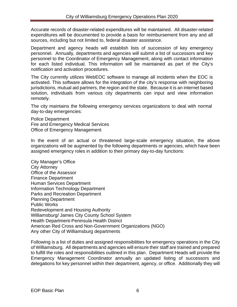Accurate records of disaster-related expenditures will be maintained. All disaster-related expenditures will be documented to provide a basis for reimbursement from any and all sources, including but not limited to, federal disaster assistance.

Department and agency heads will establish lists of succession of key emergency personnel. Annually, departments and agencies will submit a list of successors and key personnel to the Coordinator of Emergency Management, along with contact information for each listed individual. This information will be maintained as part of the City's notification and activation procedures.

The City currently utilizes WebEOC software to manage all incidents when the EOC is activated. This software allows for the integration of the city's response with neighboring jurisdictions, mutual aid partners, the region and the state. Because it is an internet based solution, individuals from various city departments can input and view information remotely.

The city maintains the following emergency services organizations to deal with normal day-to-day emergencies:

Police Department Fire and Emergency Medical Services Office of Emergency Management

In the event of an actual or threatened large-scale emergency situation, the above organizations will be augmented by the following departments or agencies, which have been assigned emergency roles in addition to their primary day-to-day functions:

City Manager's Office City Attorney Office of the Assessor Finance Department Human Services Department Information Technology Department Parks and Recreation Department Planning Department Public Works Redevelopment and Housing Authority Williamsburg/ James City County School System Health Department-Peninsula Health District American Red Cross and Non-Government Organizations (NGO) Any other City of Williamsburg departments

Following is a list of duties and assigned responsibilities for emergency operations in the City of Williamsburg. All departments and agencies will ensure their staff are trained and prepared to fulfill the roles and responsibilities outlined in this plan. Department Heads will provide the Emergency Management Coordinator annually an updated listing of successors and delegations for key personnel within their department, agency, or office. Additionally they will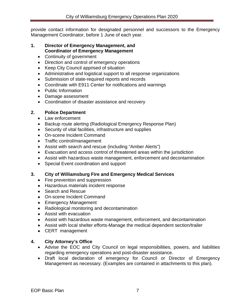provide contact information for designated personnel and successors to the Emergency Management Coordinator, before 1 June of each year.

#### **1. Director of Emergency Management, and Coordinator of Emergency Management**

- Continuity of government
- Direction and control of emergency operations
- Keep City Council apprised of situation
- Administrative and logistical support to all response organizations
- Submission of state-required reports and records
- Coordinate with E911 Center for notifications and warnings
- Public Information
- Damage assessment
- Coordination of disaster assistance and recovery

#### **2. Police Department**

- Law enforcement
- Backup route alerting (Radiological Emergency Response Plan)
- Security of vital facilities, infrastructure and supplies
- On-scene Incident Command
- Traffic control/management
- Assist with search and rescue (including "Amber Alerts")
- Evacuation and access control of threatened areas within the jurisdiction
- Assist with hazardous waste management, enforcement and decontamination
- Special Event coordination and support

#### **3. City of Williamsburg Fire and Emergency Medical Services**

- Fire prevention and suppression
- Hazardous materials incident response
- Search and Rescue
- On-scene Incident Command
- Emergency Management
- Radiological monitoring and decontamination
- Assist with evacuation
- Assist with hazardous waste management, enforcement, and decontamination
- Assist with local shelter efforts-Manage the medical dependent section/trailer
- CERT management

#### **4. City Attorney's Office**

- Advise the EOC and City Council on legal responsibilities, powers, and liabilities regarding emergency operations and post-disaster assistance.
- Draft local declaration of emergency for Council or Director of Emergency Management as necessary. (Examples are contained in attachments to this plan).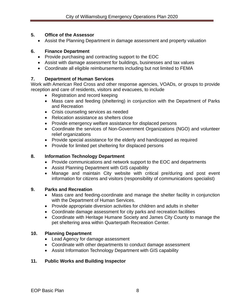#### **5. Office of the Assessor**

• Assist the Planning Department in damage assessment and property valuation

#### **6. Finance Department**

- Provide purchasing and contracting support to the EOC
- Assist with damage assessment for buildings, businesses and tax values
- Coordinate all eligible reimbursements including but not limited to FEMA

## **7. Department of Human Services**

Work with American Red Cross and other response agencies, VOADs, or groups to provide reception and care of residents, visitors and evacuees, to include

- Registration and record keeping
- Mass care and feeding (sheltering) in conjunction with the Department of Parks and Recreation
- Crisis counseling services as needed
- Relocation assistance as shelters close
- Provide emergency welfare assistance for displaced persons
- Coordinate the services of Non-Government Organizations (NGO) and volunteer relief organizations
- Provide special assistance for the elderly and handicapped as required
- Provide for limited pet sheltering for displaced persons

## **8. Information Technology Department**

- Provide communications and network support to the EOC and departments
- Assist Planning Department with GIS capability
- Manage and maintain City website with critical pre/during and post event information for citizens and visitors (responsibility of communications specialist)

## **9. Parks and Recreation**

- Mass care and feeding-coordinate and manage the shelter facility in conjunction with the Department of Human Services.
- Provide appropriate diversion activities for children and adults in shelter
- Coordinate damage assessment for city parks and recreation facilities
- Coordinate with Heritage Humane Society and James City County to manage the pet sheltering area within Quarterpath Recreation Center.

## **10. Planning Department**

- Lead Agency for damage assessment
- Coordinate with other departments to conduct damage assessment
- Assist Information Technology Department with GIS capability

## **11. Public Works and Building Inspector**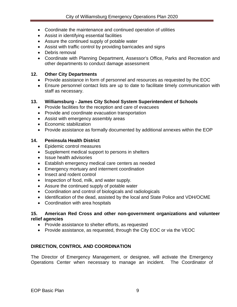- Coordinate the maintenance and continued operation of utilities
- Assist in identifying essential facilities
- Assure the continued supply of potable water
- Assist with traffic control by providing barricades and signs
- Debris removal
- Coordinate with Planning Department, Assessor's Office, Parks and Recreation and other departments to conduct damage assessment

#### **12. Other City Departments**

- Provide assistance in form of personnel and resources as requested by the EOC
- Ensure personnel contact lists are up to date to facilitate timely communication with staff as necessary.

#### **13. Williamsburg - James City School System Superintendent of Schools**

- Provide facilities for the reception and care of evacuees
- Provide and coordinate evacuation transportation
- Assist with emergency assembly areas
- Economic stabilization
- Provide assistance as formally documented by additional annexes within the EOP

#### **14. Peninsula Health District**

- Epidemic control measures
- Supplement medical support to persons in shelters
- Issue health advisories
- Establish emergency medical care centers as needed
- Emergency mortuary and interment coordination
- Insect and rodent control
- Inspection of food, milk, and water supply.
- Assure the continued supply of potable water
- Coordination and control of biologicals and radiologicals
- Identification of the dead, assisted by the local and State Police and VDH/OCME
- Coordination with area hospitals

#### **15. American Red Cross and other non-government organizations and volunteer relief agencies**

- Provide assistance to shelter efforts, as requested
- Provide assistance, as requested, through the City EOC or via the VEOC

#### <span id="page-16-0"></span>**DIRECTION, CONTROL AND COORDINATION**

The Director of Emergency Management, or designee, will activate the Emergency Operations Center when necessary to manage an incident. The Coordinator of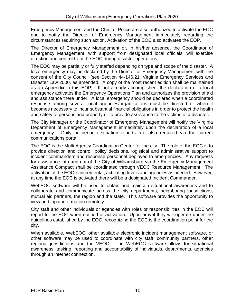Emergency Management and the Chief of Police are also authorized to activate the EOC and to notify the Director of Emergency Management immediately regarding the circumstances requiring such action. Activation of the EOC also activates the EOP.

The Director of Emergency Management or, in his/her absence, the Coordinator of Emergency Management, with support from designated local officials, will exercise direction and control from the EOC during disaster operations.

The EOC may be partially or fully staffed depending on type and scope of the disaster. A local emergency may be declared by the Director of Emergency Management with the consent of the City Council (see Section 44-146.21, Virginia Emergency Services and Disaster Law 2000, as amended. A copy of the most recent edition shall be maintained as an Appendix to this EOP). If not already accomplished, the declaration of a local emergency activates the Emergency Operations Plan and authorizes the provision of aid and assistance there under. A local emergency should be declared when a coordinated response among several local agencies/organizations must be directed or when it becomes necessary to incur substantial financial obligations in order to protect the health and safety of persons and property or to provide assistance to the victims of a disaster.

The City Manager or the Coordinator of Emergency Management will notify the Virginia Department of Emergency Management immediately upon the declaration of a local emergency. Daily or periodic situation reports are also required via the current communications portal.

The EOC is the Multi Agency Coordination Center for the city. The role of the EOC is to provide direction and control, policy decisions, logistical and administrative support to incident commanders and response personnel deployed to emergencies. Any requests for assistance into and out of the City of Williamsburg via the Emergency Management Assistance Compact shall be coordinated through VEOC Resource Management. The activation of the EOC is incremental, activating levels and agencies as needed. However, at any time the EOC is activated there will be a designated Incident Commander.

WebEOC software will be used to obtain and maintain situational awareness and to collaborate and communicate across the city departments, neighboring jurisdictions, mutual aid partners, the region and the state. This software provides the opportunity to view and input information remotely.

City staff and other individuals or agencies with roles or responsibilities in the EOC will report to the EOC when notified of activation. Upon arrival they will operate under the guidelines established by the EOC, recognizing the EOC is the coordination point for the city.

When available, WebEOC, other available electronic incident management software, or other software may be used to coordinate with city staff, community partners, other regional jurisdictions and the VEOC. The WebEOC software allows for situational awareness, tasking, reporting and accountability of individuals, departments, agencies through an internet connection.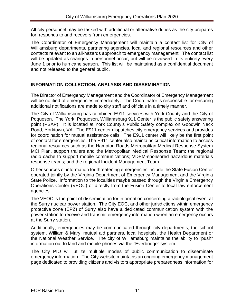All city personnel may be tasked with additional or alternative duties as the city prepares for, responds to and recovers from emergencies.

The Coordinator of Emergency Management will maintain a contact list for City of Williamsburg departments, partnering agencies, local and regional resources and other contacts relevant to an all-hazards approach to emergency management. The contact list will be updated as changes in personnel occur, but will be reviewed in its entirety every June 1 prior to hurricane season. This list will be maintained as a confidential document and not released to the general public.

#### <span id="page-18-0"></span>**INFORMATION COLLECTION, ANALYSIS AND DISSEMINATION**

The Director of Emergency Management and the Coordinator of Emergency Management will be notified of emergencies immediately. The Coordinator is responsible for ensuring additional notifications are made to city staff and officials in a timely manner.

The City of Williamsburg has combined E911 services with York County and the City of Poquoson. The York, Poquoson, Williamsburg 911 Center is the public safety answering point (PSAP). It is located at York County's Public Safety complex on Goodwin Neck Road, Yorktown, VA. The E911 center dispatches city emergency services and provides for coordination for mutual assistance calls. The E911 center will likely be the first point of contact for emergencies. The E911 center also maintains critical information to access regional resources such as the Hampton Roads Metropolitan Medical Response System MCI Plan, support trailers and the Metropolitan Medical Response Team; the regional radio cache to support mobile communications; VDEM-sponsored hazardous materials response teams; and the regional Incident Management Team.

Other sources of information for threatening emergencies include the State Fusion Center operated jointly by the Virginia Department of Emergency Management and the Virginia State Police. Information to the localities maybe passed through the Virginia Emergency Operations Center (VEOC) or directly from the Fusion Center to local law enforcement agencies.

The VEOC is the point of dissemination for information concerning a radiological event at the Surry nuclear power station. The City EOC, and other jurisdictions within emergency protective zone (EPZ) of Surry also have a dedicated communication system with the power station to receive and transmit emergency information when an emergency occurs at the Surry station.

Additionally, emergencies may be communicated through city departments, the school system, William & Mary, mutual aid partners, local hospitals, the Health Department or the National Weather Service. The city of Williamsburg maintains the ability to "push" information out to land and mobile phones via the "Everbridge" system.

The City PIO will utilize multiple modes of public communication to disseminate emergency information. The City website maintains an ongoing emergency management page dedicated to providing citizens and visitors appropriate preparedness information for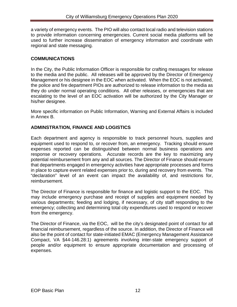a variety of emergency events. The PIO will also contact local radio and television stations to provide information concerning emergencies. Current social media platforms will be used to further increase dissemination of emergency information and coordinate with regional and state messaging.

#### <span id="page-19-0"></span>**COMMUNICATIONS**

In the City, the Public Information Officer is responsible for crafting messages for release to the media and the public. All releases will be approved by the Director of Emergency Management or his designee in the EOC when activated. When the EOC is not activated, the police and fire department PIOs are authorized to release information to the media as they do under normal operating conditions. All other releases, or emergencies that are escalating to the level of an EOC activation will be authorized by the City Manager or his/her designee.

More specific information on Public Information, Warning and External Affairs is included in Annex B.

#### <span id="page-19-1"></span>**ADMINSTRATION, FINANCE AND LOGISTICS**

Each department and agency is responsible to track personnel hours, supplies and equipment used to respond to, or recover from, an emergency. Tracking should ensure expenses reported can be distinguished between normal business operations and response or recovery operations. Accurate records are the key to maximizing any potential reimbursement from any and all sources. The Director of Finance should ensure that departments engaged in emergency activities have appropriate processes and forms in place to capture event related expenses prior to, during and recovery from events. The "declaration" level of an event can impact the availability of, and restrictions for, reimbursement.

The Director of Finance is responsible for finance and logistic support to the EOC. This may include emergency purchase and receipt of supplies and equipment needed by various departments; feeding and lodging, if necessary, of city staff responding to the emergency; collecting and determining total city expenditures used to respond or recover from the emergency.

The Director of Finance, via the EOC, will be the city's designated point of contact for all financial reimbursement, regardless of the source. In addition, the Director of Finance will also be the point of contact for state-initiated EMAC (Emergency Management Assistance Compact, VA §44-146.28:1) agreements involving inter-state emergency support of people and/or equipment to ensure appropriate documentation and processing of expenses.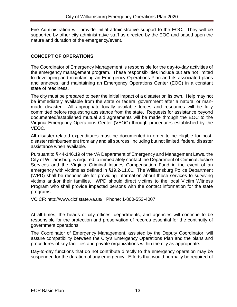Fire Administration will provide initial administrative support to the EOC. They will be supported by other city administrative staff as directed by the EOC and based upon the nature and duration of the emergency/event.

#### <span id="page-20-0"></span>**CONCEPT OF OPERATIONS**

The Coordinator of Emergency Management is responsible for the day-to-day activities of the emergency management program. These responsibilities include but are not limited to developing and maintaining an Emergency Operations Plan and its associated plans and annexes, and maintaining an Emergency Operations Center (EOC) in a constant state of readiness.

The city must be prepared to bear the initial impact of a disaster on its own. Help may not be immediately available from the state or federal government after a natural or manmade disaster. All appropriate locally available forces and resources will be fully committed before requesting assistance from the state. Requests for assistance beyond documented/established mutual aid agreements will be made through the EOC to the Virginia Emergency Operations Center (VEOC) through procedures established by the VEOC.

All disaster-related expenditures must be documented in order to be eligible for postdisaster reimbursement from any and all sources, including but not limited, federal disaster assistance when available.

Pursuant to § 44-146.19 of the VA Department of Emergency and Management Laws, the City of Williamsburg is required to immediately contact the Department of Criminal Justice Services and the Virginia Criminal Injuries Compensation Fund in the event of an emergency with victims as defined in §19.2-11.01. The Williamsburg Police Department (WPD) shall be responsible for providing information about these services to surviving victims and/or their families. WPD should direct victims to the local Victim Witness Program who shall provide impacted persons with the contact information for the state programs:

VCICF: http://www.cicf.state.va.us/ Phone: 1-800-552-4007

At all times, the heads of city offices, departments, and agencies will continue to be responsible for the protection and preservation of records essential for the continuity of government operations.

The Coordinator of Emergency Management, assisted by the Deputy Coordinator, will assure compatibility between the City's Emergency Operations Plan and the plans and procedures of key facilities and private organizations within the city as appropriate.

Day-to-day functions that do not contribute directly to the emergency operation may be suspended for the duration of any emergency. Efforts that would normally be required of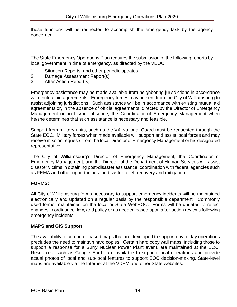those functions will be redirected to accomplish the emergency task by the agency concerned.

The State Emergency Operations Plan requires the submission of the following reports by local government in time of emergency, as directed by the VEOC:

- 1. Situation Reports, and other periodic updates
- 2. Damage Assessment Report(s)
- 3. After-Action Report(s)

Emergency assistance may be made available from neighboring jurisdictions in accordance with mutual aid agreements. Emergency forces may be sent from the City of Williamsburg to assist adjoining jurisdictions. Such assistance will be in accordance with existing mutual aid agreements or, in the absence of official agreements, directed by the Director of Emergency Management or, in his/her absence, the Coordinator of Emergency Management when he/she determines that such assistance is necessary and feasible.

Support from military units, such as the VA National Guard must be requested through the State EOC. Military forces when made available will support and assist local forces and may receive mission requests from the local Director of Emergency Management or his designated representative.

The City of Williamsburg's Director of Emergency Management, the Coordinator of Emergency Management, and the Director of the Department of Human Services will assist disaster victims in obtaining post-disaster assistance, coordination with federal agencies such as FEMA and other opportunities for disaster relief, recovery and mitigation.

#### **FORMS:**

All City of Williamsburg forms necessary to support emergency incidents will be maintained electronically and updated on a regular basis by the responsible department. Commonly used forms maintained on the local or State WebEOC. Forms will be updated to reflect changes in ordinance, law, and policy or as needed based upon after-action reviews following emergency incidents.

#### **MAPS and GIS Support:**

The availability of computer-based maps that are developed to support day to day operations precludes the need to maintain hard copies. Certain hard copy wall maps, including those to support a response for a Surry Nuclear Power Plant event, are maintained at the EOC. Resources, such as Google Earth, are available to support local operations and provide actual photos of local and sub-local features to support EOC decision-making. State-level maps are available via the Internet at the VDEM and other State websites.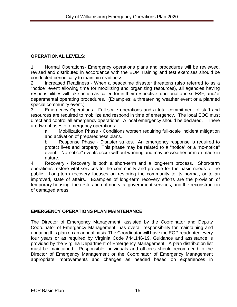## **OPERATIONAL LEVELS:**

1. Normal Operations- Emergency operations plans and procedures will be reviewed, revised and distributed in accordance with the EOP Training and test exercises should be conducted periodically to maintain readiness.

2. Increased Readiness - When a peacetime disaster threatens (also referred to as a "notice" event allowing time for mobilizing and organizing resources), all agencies having responsibilities will take action as called for in their respective functional annex, ESF, and/or departmental operating procedures. (Examples: a threatening weather event or a planned special community event.)

3. Emergency Operations - Full-scale operations and a total commitment of staff and resources are required to mobilize and respond in time of emergency. The local EOC must direct and control all emergency operations. A local emergency should be declared. There are two phases of emergency operations:

a. Mobilization Phase - Conditions worsen requiring full-scale incident mitigation and activation of preparedness plans.

b. Response Phase - Disaster strikes. An emergency response is required to protect lives and property. This phase may be related to a "notice" or a "no-notice" event. "No-notice" events occur without warning and may be weather or man-made in nature.

4. Recovery - Recovery is both a short-term and a long-term process. Short-term operations restore vital services to the community and provide for the basic needs of the public. Long-term recovery focuses on restoring the community to its normal, or to an improved, state of affairs. Examples of long-term recovery efforts are the provision of temporary housing, the restoration of non-vital government services, and the reconstruction of damaged areas.

## <span id="page-22-0"></span>**EMERGENCY OPERATIONS PLAN MAINTENANCE**

 . The Director of Emergency Management, assisted by the Coordinator and Deputy Coordinator of Emergency Management, has overall responsibility for maintaining and updating this plan on an annual basis The Coordinator will have the EOP readopted every four years or as required by Virginia Code §44.146-19. Guidance and assistance is provided by the Virginia Department of Emergency Management. A plan distribution list must be maintained. Responsible individuals and officials should recommend to the Director of Emergency Management or the Coordinator of Emergency Management appropriate improvements and changes as needed based on experiences in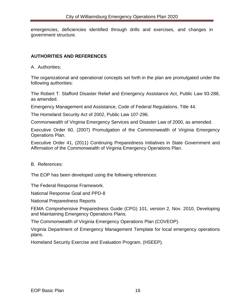emergencies, deficiencies identified through drills and exercises, and changes in government structure.

#### <span id="page-23-0"></span>**AUTHORITIES AND REFERENCES**

A. Authorities;

The organizational and operational concepts set forth in the plan are promulgated under the following authorities:

The Robert T. Stafford Disaster Relief and Emergency Assistance Act, Public Law 93-288, as amended.

Emergency Management and Assistance, Code of Federal Regulations, Title 44.

The Homeland Security Act of 2002, Public Law 107-296.

Commonwealth of Virginia Emergency Services and Disaster Law of 2000, as amended.

Executive Order 60, (2007) Promulgation of the Commonwealth of Virginia Emergency Operations Plan.

Executive Order 41, (2011) Continuing Preparedness Initiatives in State Government and Affirmation of the Commonwealth of Virginia Emergency Operations Plan.

B. References:

The EOP has been developed using the following references:

The Federal Response Framework.

National Response Goal and PPD-8

National Preparedness Reports

FEMA Comprehensive Preparedness Guide (CPG) 101, version 2, Nov. 2010, Developing and Maintaining Emergency Operations Plans.

The Commonwealth of Virginia Emergency Operations Plan (COVEOP).

Virginia Department of Emergency Management Template for local emergency operations plans.

Homeland Security Exercise and Evaluation Program, (HSEEP).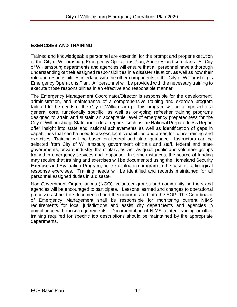## <span id="page-24-0"></span>**EXERCISES AND TRAINING**

Trained and knowledgeable personnel are essential for the prompt and proper execution of the City of Williamsburg Emergency Operations Plan, Annexes and sub-plans. All City of Williamsburg departments and agencies will ensure that all personnel have a thorough understanding of their assigned responsibilities in a disaster situation, as well as how their role and responsibilities interface with the other components of the City of Williamsburg's Emergency Operations Plan. All personnel will be provided with the necessary training to execute those responsibilities in an effective and responsible manner.

The Emergency Management Coordinator/Director is responsible for the development, administration, and maintenance of a comprehensive training and exercise program tailored to the needs of the City of Williamsburg. This program will be comprised of a general core, functionally specific, as well as on-going refresher training programs designed to attain and sustain an acceptable level of emergency preparedness for the City of Williamsburg. State and federal reports, such as the National Preparedness Report offer insight into state and national achievements as well as identification of gaps in capabilities that can be used to assess local capabilities and areas for future training and exercises. Training will be based on federal and state guidance. Instructors can be selected from City of Williamsburg government officials and staff, federal and state governments, private industry, the military, as well as quasi-public and volunteer groups trained in emergency services and response. In some instances, the source of funding may require that training and exercises will be documented using the Homeland Security Exercise and Evaluation Program, or like evaluation program in the case of radiological response exercises. Training needs will be identified and records maintained for all personnel assigned duties in a disaster.

Non-Government Organizations (NGO), volunteer groups and community partners and agencies will be encouraged to participate. Lessons learned and changes to operational processes should be documented and then incorporated into the EOP. The Coordinator of Emergency Management shall be responsible for monitoring current NIMS requirements for local jurisdictions and assist city departments and agencies in compliance with those requirements. Documentation of NIMS related training or other training required for specific job descriptions should be maintained by the appropriate departments.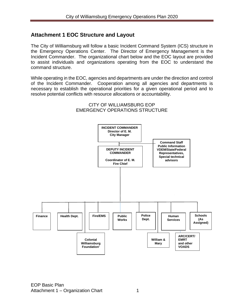## <span id="page-25-0"></span>**Attachment 1 EOC Structure and Layout**

The City of Williamsburg will follow a basic Incident Command System (ICS) structure in the Emergency Operations Center. The Director of Emergency Management is the Incident Commander. The organizational chart below and the EOC layout are provided to assist individuals and organizations operating from the EOC to understand the command structure.

While operating in the EOC, agencies and departments are under the direction and control of the Incident Commander. Cooperation among all agencies and departments is necessary to establish the operational priorities for a given operational period and to resolve potential conflicts with resource allocations or accountability.



#### CITY OF WILLIAMSBURG EOP EMERGENCY OPERATIONS STRUCTURE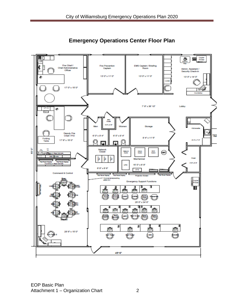

**Emergency Operations Center Floor Plan**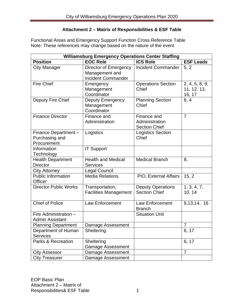#### **Attachment 2 – Matrix of Responsibilities & ESF Table**

<span id="page-27-0"></span>Functional Areas and Emergency Support Function Cross Reference Table Note: These references may change based on the nature of the event

| <b>Williamsburg Emergency Operations Center Staffing</b> |                                                                      |                                                       |                                         |
|----------------------------------------------------------|----------------------------------------------------------------------|-------------------------------------------------------|-----------------------------------------|
| <b>Position</b>                                          | <b>EOC Role</b>                                                      | <b>ICS Role</b>                                       | <b>ESF Leads</b>                        |
| <b>City Manager</b>                                      | Director of Emergency<br>Management and<br><b>Incident Commander</b> | <b>Incident Commander</b>                             | 5, 2                                    |
| <b>Fire Chief</b>                                        | Emergency<br>Management<br>Coordinator                               | <b>Operations Section</b><br>Chief                    | 2, 4, 5, 8, 9,<br>11, 12, 13,<br>16, 17 |
| Deputy Fire Chief                                        | Deputy Emergency<br>Management<br>Coordinator                        | <b>Planning Section</b><br>Chief                      | 6, 4                                    |
| <b>Finance Director</b>                                  | Finance and<br>Administration                                        | Finance and<br>Administration<br><b>Section Chief</b> | $\overline{7}$                          |
| Finance Department -<br>Purchasing and<br>Procurement    | Logistics                                                            | <b>Logistics Section</b><br>Chief                     |                                         |
| Information<br>Technology                                | <b>IT Support</b>                                                    |                                                       |                                         |
| <b>Health Department</b><br><b>Director</b>              | <b>Health and Medical</b><br><b>Services</b>                         | <b>Medical Branch</b>                                 | 8,                                      |
| <b>City Attorney</b>                                     | <b>Legal Council</b>                                                 |                                                       |                                         |
| <b>Public Information</b><br><b>Officer</b>              | <b>Media Relations</b>                                               | PIO, External Affairs                                 | 15, 2                                   |
| <b>Director Public Works</b>                             | Transportation,<br><b>Facilities Management</b>                      | <b>Deputy Operations</b><br><b>Section Chief</b>      | 1, 3, 4, 7,<br>10, 14                   |
| <b>Chief of Police</b>                                   | <b>Law Enforcement</b>                                               | Law Enforcement<br><b>Branch</b>                      | 9,13,14, 16                             |
| Fire Administration -<br><b>Admin Assistant</b>          |                                                                      | <b>Situation Unit</b>                                 |                                         |
| <b>Planning Department</b>                               | Damage Assessment                                                    |                                                       | $\overline{7}$                          |
| Department of Human<br><b>Services</b>                   | Sheltering                                                           |                                                       | 6, 17                                   |
| <b>Parks &amp; Recreation</b>                            | Sheltering<br>Damage Assessment                                      |                                                       | 6, 17                                   |
| <b>City Assessor</b>                                     | Damage Assessment                                                    |                                                       | $\overline{7}$                          |
| <b>City Treasurer</b>                                    | Damage Assessment                                                    |                                                       |                                         |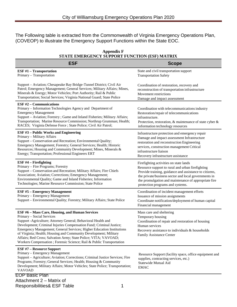The Following table is extracted from the Commonwealth of Virginia Emergency Operations Plan, (COVEOP) to illustrate the Emergency Support Functions within the State EOC.

| <b>ESF</b>                                                                                                                                                                                                                                                                                                                                                                                                                                                                                                            | <b>Scope</b>                                                                                                                                                                                                                                                                                             |
|-----------------------------------------------------------------------------------------------------------------------------------------------------------------------------------------------------------------------------------------------------------------------------------------------------------------------------------------------------------------------------------------------------------------------------------------------------------------------------------------------------------------------|----------------------------------------------------------------------------------------------------------------------------------------------------------------------------------------------------------------------------------------------------------------------------------------------------------|
| <b>ESF #1 - Transportation</b><br>Primary - Transportation                                                                                                                                                                                                                                                                                                                                                                                                                                                            | State and civil transportation support<br><b>Transportation Safety</b>                                                                                                                                                                                                                                   |
| Support - Aviation; Chesapeake Bay Bridge-Tunnel District; Civil Air<br>Patrol; Emergency Management; General Services; Military Affairs; Mines,<br>Minerals & Energy; Motor Vehicles; Port Authority; Rail & Public<br>Transportation; Social Services; Virginia National Guard; State Police                                                                                                                                                                                                                        | Coordination of restoration, recovery and<br>reconstruction of transportation infrastructure<br>Movement restrictions<br>Damage and impact assessment                                                                                                                                                    |
| ESF $#2$ – Communications<br>Primary - Information Technologies Agency and Department of<br><b>Emergency Management</b><br>Support - Aviation; Forestry ; Game and Inland Fisheries; Military Affairs;<br>Transportation; Marine Resource Commission; Northrup Grumman; Health;<br>RACES; Virginia Defense Force ; State Police; Civil Air Patrol;                                                                                                                                                                    | Coordination with telecommunications industry<br>Restoration/repair of telecommunications<br>infrastructure.<br>Protection, restoration, & maintenance of state cyber &<br>information technology resources                                                                                              |
| <b>ESF #3 - Public Works and Engineering</b><br>Primary - Military Affairs<br>Support - Conservation and Recreation; Environmental Quality;<br>Emergency Management; Forestry; General Services; Health; Historic<br>Resources; Housing and Community Development; Mines, Minerals &<br>Energy; Transportation; Professional Engineers ERT                                                                                                                                                                            | Infrastructure protection and emergency repair<br>Damage and impact assessment Infrastructure<br>restoration and reconstruction Engineering<br>services, construction management Critical<br>infrastructure liaison<br>Recovery infrastructure assistance                                                |
| ESF #4 - Firefighting<br>Primary - Fire Programs; Forestry<br>Support - Conservation and Recreation; Military Affairs; Fire Chiefs<br>Association; Aviation; Corrections; Emergency Management;<br>Environmental Quality; Game and Inland Fisheries; Information<br>Technologies; Marine Resource Commission; State Police                                                                                                                                                                                            | Firefighting activities on state lands<br>Resource support to rural and urban firefighting<br>Provide training, guidance and assistance to citizens,<br>the private/business sector and local governments in<br>the promulgation and maintenance of appropriate fire<br>protection programs and systems. |
| <b>ESF #5 - Emergency Management</b><br>Primary - Emergency Management<br>Support - Environmental Quality; Forestry; Military Affairs; State Police                                                                                                                                                                                                                                                                                                                                                                   | Coordination of incident management efforts<br>Issuance of mission assignments<br>Coordinate notification/deployment of human capital<br>Financial management                                                                                                                                            |
| <b>ESF #6 - Mass Care, Housing, and Human Services</b><br>Primary - Social Services<br>Support - Agriculture; Attorney General; Behavioral Health and<br>Development; Criminal Injuries Compensation Fund; Criminal Justice;<br>Emergency Management; General Services; Higher Education Institutions<br>of Virginia; Health; Housing and Community Development; Military<br>Affairs; Red Cross; Salvation Army; State Police; VITA; VAVOAD;<br>Workers Compensation ; Forensic Science; Rail & Public Transportation | Mass care and sheltering<br>Temporary housing<br>Coordination of repair and restoration of housing<br>Human services<br>Recovery assistance to individuals & households<br>Family Assistance Center                                                                                                      |
| <b>ESF #7 - Resource Support</b><br>Primary - Emergency Management<br>Support - Agriculture; Aviation; Corrections; Criminal Justice Services; Fire<br>Programs; Forestry; General Services; Health; Housing & Community<br>Development; Military Affairs; Motor Vehicles; State Police; Transportation;<br><b>VAVOAD</b>                                                                                                                                                                                             | Resource Support (facility space, office equipment and<br>supplies, contracting services, etc.)<br>Statewide Mutual Aid<br><b>EMAC</b>                                                                                                                                                                   |
| <b>EOP Basic Plan</b><br>Attachment 2 - Matrix of<br><b>Responsibilities&amp; ESF Table</b><br>1                                                                                                                                                                                                                                                                                                                                                                                                                      |                                                                                                                                                                                                                                                                                                          |

#### **Appendix F STATE EMERGENCY SUPPORT FUNCTION (ESF) MATRIX**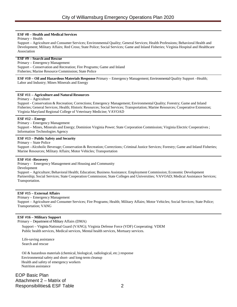#### **ESF #8 – Health and Medical Services**

Primary – Health

Support – Agriculture and Consumer Services; Environmental Quality; General Services; Health Professions; Behavioral Health and Development; Military Affairs; Red Cross; State Police; Social Services; Game and Inland Fisheries; Virginia Hospital and Healthcare Association

#### **ESF #9 – Search and Rescue**

Primary – Emergency Management Support – Conservation and Recreation; Fire Programs; Game and Inland Fisheries; Marine Resource Commission; State Police

**ESF #10 – Oil and Hazardous Materials Response** Primary – Emergency Management; EnvironmentalQuality Support –Health; Labor and Industry; Mines Minerals and Energy

#### **ESF #11 – Agriculture and Natural Resources**

Primary – Agriculture

Support - Conservation & Recreation; Corrections; Emergency Management; Environmental Quality; Forestry; Game and Inland Fisheries; General Services; Health; Historic Resources; Social Services; Transportation; Marine Resources; Cooperative Extension; Virginia Maryland Regional College of Veterinary Medicine; VAVOAD

#### **ESF #12 – Energy**

Primary – Emergency Management

Support – Mines, Minerals and Energy; Dominion Virginia Power; State Corporation Commission; Virginia Electric Cooperatives ; Information Technologies Agency

#### **ESF #13 – Public Safety and Security**

Primary – State Police

Support –Alcoholic Beverage; Conservation & Recreation; Corrections; Criminal Justice Services; Forestry; Game and Inland Fisheries; Marine Resources; Military Affairs; Motor Vehicles; Transportation

#### **ESF #14 –Recovery**

Primary - Emergency Management and Housing and Community

Development

Support – Agriculture; Behavioral Health; Education; Business Assistance; Employment Commission; Economic Development Partnership; Social Services; State Cooperation Commission; State Colleges and Universities; VAVOAD; Medical Assistance Services; Transportation.

#### **ESF #15 – External Affairs**

Primary – Emergency Management

Support – Agriculture and Consumer Services; Fire Programs; Health; Military Affairs; Motor Vehicles; Social Services; State Police; Transportation; VANG

#### **ESF #16 – Military Support**

Primary – Department of Military Affairs (DMA)

Support – Virginia National Guard (VANG); Virginia Defense Force (VDF) Cooperating: VDEM Public health services, Medical services, Mental health services, Mortuary services.

Life-saving assistance Search and rescue

 Oil & hazardous materials (chemical, biological, radiological, etc.) response Environmentalsafety and short- and long-term cleanup Health and safety of emergency workers Nutrition assistance

EOP Basic Plan Attachment 2 – Matrix of Responsibilities& ESF Table 2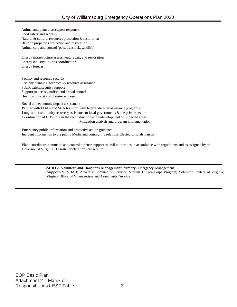Animal and plant disease/pest response Food safety and security Natural & cultural resources protection & restoration Historic properties protection and restoration Animal care and control (pets, livestock, wildlife)

Energy infrastructure assessment, repair, and restoration Energy industry utilities coordination Energy forecast

Facility and resource security Security planning; technical & resource assistance Public safety/security support Support to access, traffic, and crowd control Health and safety of disaster workers

Social and economic impact assessment

Partner with FEMA and SBA for short term federal disaster assistance programs Long-term community recovery assistance to local governments & the private sector Coordination of COV role in the reconstruction and redevelopment of impacted areas Mitigation analysis and program implementation

 Emergency public information and protective action guidance Incident information to the public Media and community relations Elected officials liaison

Plan, coordinate, command and control defense support to civil authorities in accordance with regulations and as assigned by the Governor of Virginia. Disaster declarations are require

> **ESF #17-Volunteer and Donations Management** Primary- Emergency Management Support- VAVOAD; Adventist Community Services; Virginia Citizen Corps Program; Volunteer Centers of Virginia; Virginia Office of Volunteerism and Community Service

EOP Basic Plan Attachment 2 – Matrix of Responsibilities& ESF Table 3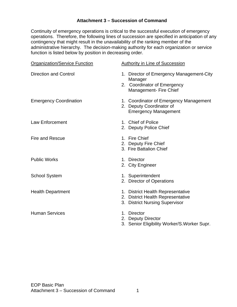#### **Attachment 3 – Succession of Command**

<span id="page-31-0"></span>Continuity of emergency operations is critical to the successful execution of emergency operations. Therefore, the following lines of succession are specified in anticipation of any contingency that might result in the unavailability of the ranking member of the administrative hierarchy. The decision-making authority for each organization or service function is listed below by position in decreasing order.

| <b>Organization/Service Function</b> | <b>Authority in Line of Succession</b>                                                                       |
|--------------------------------------|--------------------------------------------------------------------------------------------------------------|
| <b>Direction and Control</b>         | 1. Director of Emergency Management-City<br>Manager<br>2. Coordinator of Emergency<br>Management- Fire Chief |
| <b>Emergency Coordination</b>        | 1. Coordinator of Emergency Management<br>2. Deputy Coordinator of<br><b>Emergency Management</b>            |
| <b>Law Enforcement</b>               | 1. Chief of Police<br>2. Deputy Police Chief                                                                 |
| <b>Fire and Rescue</b>               | 1. Fire Chief<br>2. Deputy Fire Chief<br>3. Fire Battalion Chief                                             |
| <b>Public Works</b>                  | 1. Director<br>2. City Engineer                                                                              |
| <b>School System</b>                 | 1. Superintendent<br>2. Director of Operations                                                               |
| <b>Health Department</b>             | 1. District Health Representative<br>2. District Health Representative<br>3. District Nursing Supervisor     |
| <b>Human Services</b>                | 1. Director<br>2. Deputy Director<br>3. Senior Eligibility Worker/S. Worker Supr.                            |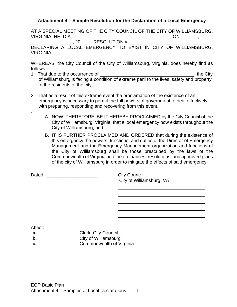#### <span id="page-32-0"></span>**Attachment 4 – Sample Resolution for the Declaration of a Local Emergency**

AT A SPECIAL MEETING OF THE CITY COUNCIL OF THE CITY OF WILLIAMSBURG, VIRGINIA, HELD AT \_\_\_\_\_\_\_\_\_\_\_\_\_\_\_\_\_\_\_\_\_\_ , ON ,

, 20\_\_\_ RESOLUTION # - \_\_\_ DECLARING A LOCAL EMERGENCY TO EXIST IN CITY OF WILLIAMSBURG. VIRGINIA

WHEREAS, the City Council of the City of Williamsburg, Virginia, does hereby find as follows:

- 1. That due to the occurrence of \_\_\_\_\_\_\_\_, the City of Williamsburg is facing a condition of extreme peril to the lives, safety and property of the residents of the city;
- 2. That as a result of this extreme event the proclamation of the existence of an emergency is necessary to permit the full powers of government to deal effectively with preparing, responding and recovering from this event.
	- A. NOW, THEREFORE, BE IT HEREBY PROCLAIMED by the City Council of the City of Williamsburg, Virginia, that a local emergency now exists throughout the City of Williamsburg; and
	- B. IT IS FURTHER PROCLAIMED AND ORDERED that during the existence of this emergency the powers, functions, and duties of the Director of Emergency Management and the Emergency Management organization and functions of the City of Williamsburg shall be those prescribed by the laws of the Commonwealth of Virginia and the ordinances, resolutions, and approved plans of the city of Williamsburg in order to mitigate the effects of said emergency.

Dated: **Dated: City Council** 

City of Williamsburg, VA

Attest:

.

- **a.** Clerk, City Council
- **b.** City of Williamsburg
- **c. Commonwealth of Virginia**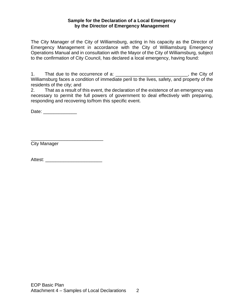#### **Sample for the Declaration of a Local Emergency by the Director of Emergency Management**

The City Manager of the City of Williamsburg, acting in his capacity as the Director of Emergency Management in accordance with the City of Williamsburg Emergency Operations Manual and in consultation with the Mayor of the City of Williamsburg, subject to the confirmation of City Council, has declared a local emergency, having found:

1. That due to the occurrence of a: \_\_\_\_\_\_\_\_\_\_\_\_\_\_\_\_\_\_\_\_\_\_\_\_\_\_\_\_\_, the City of Williamsburg faces a condition of immediate peril to the lives, safety, and property of the residents of the city; and

2. That as a result of this event, the declaration of the existence of an emergency was necessary to permit the full powers of government to deal effectively with preparing, responding and recovering to/from this specific event.

Date: \_\_\_\_\_\_\_\_\_\_\_\_\_\_\_\_

City Manager

Attest: \_\_\_\_\_\_\_\_\_\_\_\_\_\_\_\_\_\_\_\_\_\_

\_\_\_\_\_\_\_\_\_\_\_\_\_\_\_\_\_\_\_\_\_\_\_\_\_\_\_\_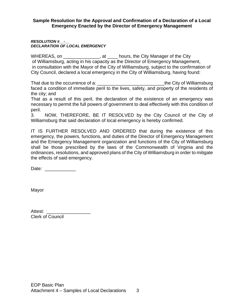#### **Sample Resolution for the Approval and Confirmation of a Declaration of a Local Emergency Enacted by the Director of Emergency Management**

#### *RESOLUTION #\_\_-\_\_ DECLARATION OF LOCAL EMERGENCY*

WHEREAS, on \_\_\_\_\_\_\_\_\_\_\_\_\_\_, at \_\_\_\_\_ hours, the City Manager of the City of Williamsburg, acting in his capacity as the Director of Emergency Management, in consultation with the Mayor of the City of Williamsburg, subject to the confirmation of City Council, declared a local emergency in the City of Williamsburg, having found:

That due to the occurrence of a: \_\_\_\_\_\_\_\_\_\_\_\_\_\_\_\_\_\_\_\_\_\_\_\_\_\_the City of Williamsburg faced a condition of immediate peril to the lives, safety, and property of the residents of the city; and

That as a result of this peril, the declaration of the existence of an emergency was necessary to permit the full powers of government to deal effectively with this condition of peril.

3. NOW, THEREFORE, BE IT RESOLVED by the City Council of the City of Williamsburg that said declaration of local emergency is hereby confirmed.

IT IS FURTHER RESOLVED AND ORDERED that during the existence of this emergency, the powers, functions, and duties of the Director of Emergency Management and the Emergency Management organization and functions of the City of Williamsburg shall be those prescribed by the laws of the Commonwealth of Virginia and the ordinances, resolutions, and approved plans of the City of Williamsburg in order to mitigate the effects of said emergency.

Date:  $\Box$ 

Mayor

| Attest:                 |  |
|-------------------------|--|
| <b>Clerk of Council</b> |  |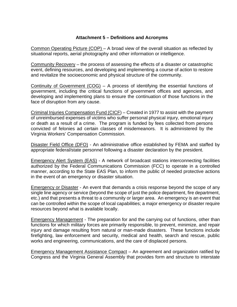#### **Attachment 5 – Definitions and Acronyms**

<span id="page-35-0"></span>Common Operating Picture (COP) – A broad view of the overall situation as reflected by situational reports, aerial photography and other information or intelligence.

Community Recovery – the process of assessing the effects of a disaster or catastrophic event, defining resources, and developing and implementing a course of action to restore and revitalize the socioeconomic and physical structure of the community.

Continuity of Government (COG) – A process of identifying the essential functions of government, including the critical functions of government offices and agencies, and developing and implementing plans to ensure the continuation of those functions in the face of disruption from any cause.

Criminal Injuries Compensation Fund (CICF) – Created in 1977 to assist with the payment of unreimbursed expenses of victims who suffer personal physical injury, emotional injury or death as a result of a crime. The program is funded by fees collected from persons convicted of felonies ad certain classes of misdemeanors. It is administered by the Virginia Workers' Compensation Commission.

Disaster Field Office (DFO) - An administrative office established by FEMA and staffed by appropriate federal/state personnel following a disaster declaration by the president.

Emergency Alert System (EAS) - A network of broadcast stations interconnecting facilities authorized by the Federal Communications Commission (FCC) to operate in a controlled manner, according to the State EAS Plan, to inform the public of needed protective actions in the event of an emergency or disaster situation.

Emergency or Disaster - An event that demands a crisis response beyond the scope of any single line agency or service (beyond the scope of just the police department, fire department, etc.) and that presents a threat to a community or larger area. An emergency is an event that can be controlled within the scope of local capabilities; a major emergency or disaster require resources beyond what is available locally.

Emergency Management - The preparation for and the carrying out of functions, other than functions for which military forces are primarily responsible, to prevent, minimize, and repair injury and damage resulting from natural or man-made disasters. These functions include firefighting, law enforcement and security, medical and health, search and rescue, public works and engineering, communications, and the care of displaced persons.

Emergency Management Assistance Compact – An agreement and organization ratified by Congress and the Virginia General Assembly that provides form and structure to interstate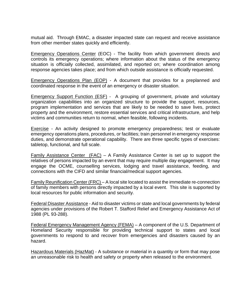mutual aid. Through EMAC, a disaster impacted state can request and receive assistance from other member states quickly and efficiently.

Emergency Operations Center (EOC) - The facility from which government directs and controls its emergency operations; where information about the status of the emergency situation is officially collected, assimilated, and reported on; where coordination among response agencies takes place; and from which outside assistance is officially requested.

Emergency Operations Plan (EOP) - A document that provides for a preplanned and coordinated response in the event of an emergency or disaster situation.

Emergency Support Function (ESF) - A grouping of government, private and voluntary organization capabilities into an organized structure to provide the support, resources, program implementation and services that are likely to be needed to save lives, protect property and the environment, restore essential services and critical infrastructure, and help victims and communities return to normal, when feasible, following incidents.

Exercise - An activity designed to promote emergency preparedness; test or evaluate emergency operations plans, procedures, or facilities; train personnel in emergency response duties, and demonstrate operational capability. There are three specific types of exercises: tabletop, functional, and full scale.

<u>Family Assistance Center (FAC)</u> – A Family Assistance Center is set up to support the relatives of persons impacted by an event that may require multiple day engagement. It may engage the OCME, counselling services, lodging and travel assistance, feeding, and connections with the CIFD and similar financial/medical support agencies.

Family Reunification Center (FRC) – A local site located to assist the immediate re-connection of family members with persons directly impacted by a local event. This site is supported by local resources for public information and security.

Federal Disaster Assistance - Aid to disaster victims or state and local governments by federal agencies under provisions of the Robert T. Stafford Relief and Emergency Assistance Act of 1988 (PL 93-288).

Federal Emergency Management Agency (FEMA) – A component of the U.S. Department of Homeland Security responsible for providing technical support to states and local governments to respond to and recover from emergencies and disasters caused by an hazard.

Hazardous Materials (HazMat) - A substance or material in a quantity or form that may pose an unreasonable risk to health and safety or property when released to the environment.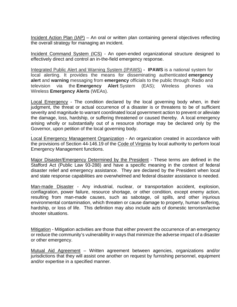Incident Action Plan (IAP) – An oral or written plan containing general objectives reflecting the overall strategy for managing an incident.

Incident Command System (ICS) - An open-ended organizational structure designed to effectively direct and control an in-the-field emergency response.

Integrated Public Alert and Warning System (IPAWS) **- IPAWS** is a national system for local alerting. It provides the means for disseminating authenticated **emergency alert** and **warning** messaging from **emergency** officials to the public through: Radio and television via the **Emergency Alert** System (EAS); Wireless phones via Wireless **Emergency Alerts** (WEAs).

Local Emergency - The condition declared by the local governing body when, in their judgment, the threat or actual occurrence of a disaster is or threatens to be of sufficient severity and magnitude to warrant coordinated local government action to prevent or alleviate the damage, loss, hardship, or suffering threatened or caused thereby. A local emergency arising wholly or substantially out of a resource shortage may be declared only by the Governor, upon petition of the local governing body.

Local Emergency Management Organization - An organization created in accordance with the provisions of Section 44-146.19 of the Code of Virginia by local authority to perform local Emergency Management functions.

.

Major Disaster/Emergency Determined by the President - These terms are defined in the Stafford Act (Public Law 93-288) and have a specific meaning in the context of federal disaster relief and emergency assistance. They are declared by the President when local and state response capabilities are overwhelmed and federal disaster assistance is needed.

Man-made Disaster - Any industrial, nuclear, or transportation accident, explosion, conflagration, power failure, resource shortage, or other condition, except enemy action, resulting from man-made causes, such as sabotage, oil spills, and other injurious environmental contamination, which threaten or cause damage to property, human suffering, hardship, or loss of life. This definition may also include acts of domestic terrorism/active shooter situations.

Mitigation - Mitigation activities are those that either prevent the occurrence of an emergency or reduce the community's vulnerability in ways that minimize the adverse impact of a disaster or other emergency.

Mutual Aid Agreement – Written agreement between agencies, organizations and/or jurisdictions that they will assist one another on request by furnishing personnel, equipment and/or expertise in a specified manner.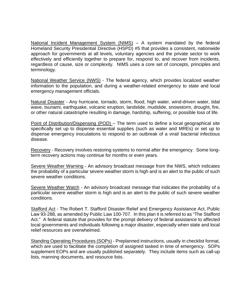National Incident Management System (NIMS) – A system mandated by the federal Homeland Security Presidential Directive (HSPD) #5 that provides a consistent, nationwide approach for governments at all levels, voluntary agencies and the private sector to work effectively and efficiently together to prepare for, respond to, and recover from incidents, regardless of cause, size or complexity. NIMS uses a core set of concepts, principles and terminology.

National Weather Service (NWS) - The federal agency, which provides localized weather information to the population, and during a weather-related emergency to state and local emergency management officials.

Natural Disaster - Any hurricane, tornado, storm, flood, high water, wind-driven water, tidal wave, tsunami, earthquake, volcanic eruption, landslide, mudslide, snowstorm, drought, fire, or other natural catastrophe resulting in damage, hardship, suffering, or possible loss of life.

Point of Distribution/Dispensing (POD) – The term used to define a local geographical site specifically set up to dispense essential supplies (such as water and MREs) or set up to dispense emergency inoculations to respond to an outbreak of a viral/ bacterial infectious disease.

Recovery - Recovery involves restoring systems to normal after the emergency. Some longterm recovery actions may continue for months or even years.

Severe Weather Warning - An advisory broadcast message from the NWS, which indicates the probability of a particular severe weather storm is high and is an alert to the public of such severe weather conditions.

Severe Weather Watch - An advisory broadcast message that indicates the probability of a particular severe weather storm is high and is an alert to the public of such severe weather conditions.

Stafford Act - The Robert T. Stafford Disaster Relief and Emergency Assistance Act, Public Law 93-288, as amended by Public Law 100-707. In this plan it is referred to as "The Stafford Act." A federal statute that provides for the prompt delivery of federal assistance to affected local governments and individuals following a major disaster, especially when state and local relief resources are overwhelmed.

Standing Operating Procedures (SOPs) - Preplanned instructions, usually in checklist format, which are used to facilitate the completion of assigned tasked in time of emergency. SOPs supplement EOPs and are usually published separately. They include items such as call-up lists, manning documents, and resource lists.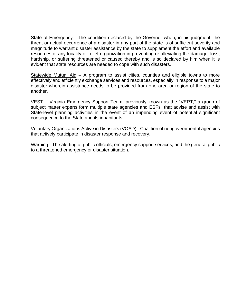State of Emergency - The condition declared by the Governor when, in his judgment, the threat or actual occurrence of a disaster in any part of the state is of sufficient severity and magnitude to warrant disaster assistance by the state to supplement the effort and available resources of any locality or relief organization in preventing or alleviating the damage, loss, hardship, or suffering threatened or caused thereby and is so declared by him when it is evident that state resources are needed to cope with such disasters.

Statewide Mutual Aid – A program to assist cities, counties and eligible towns to more effectively and efficiently exchange services and resources, especially in response to a major disaster wherein assistance needs to be provided from one area or region of the state to another.

VEST – Virginia Emergency Support Team, previously known as the "VERT," a group of subject matter experts form multiple state agencies and ESFs that advise and assist with State-level planning activities in the event of an impending event of potential significant consequence to the State and its inhabitants.

Voluntary Organizations Active in Disasters (VOAD) - Coalition of nongovernmental agencies that actively participate in disaster response and recovery.

Warning - The alerting of public officials, emergency support services, and the general public to a threatened emergency or disaster situation.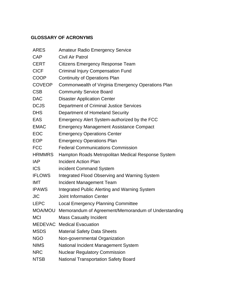## **GLOSSARY OF ACRONYMS**

| <b>Amateur Radio Emergency Service</b>               |
|------------------------------------------------------|
| Civil Air Patrol                                     |
| <b>Citizens Emergency Response Team</b>              |
| <b>Criminal Injury Compensation Fund</b>             |
| <b>Continuity of Operations Plan</b>                 |
| Commonwealth of Virginia Emergency Operations Plan   |
| <b>Community Service Board</b>                       |
| <b>Disaster Application Center</b>                   |
| Department of Criminal Justice Services              |
| Department of Homeland Security                      |
| Emergency Alert System-authorized by the FCC         |
| <b>Emergency Management Assistance Compact</b>       |
| <b>Emergency Operations Center</b>                   |
| <b>Emergency Operations Plan</b>                     |
| <b>Federal Communications Commission</b>             |
| Hampton Roads Metropolitan Medical Response System   |
| <b>Incident Action Plan</b>                          |
| incident Command System                              |
| Integrated Flood Observing and Warning System        |
| <b>Incident Management Team</b>                      |
| <b>Integrated Public Alerting and Warning System</b> |
| <b>Joint Information Center</b>                      |
| <b>Local Emergency Planning Committee</b>            |
| Memorandum of Agreement/Memorandum of Understanding  |
| <b>Mass Casualty Incident</b>                        |
| <b>MEDEVAC</b> Medical Evacuation                    |
| <b>Material Safety Data Sheets</b>                   |
| Non-governmental Organization                        |
| National Incident Management System                  |
| <b>Nuclear Regulatory Commission</b>                 |
| <b>National Transportation Safety Board</b>          |
|                                                      |